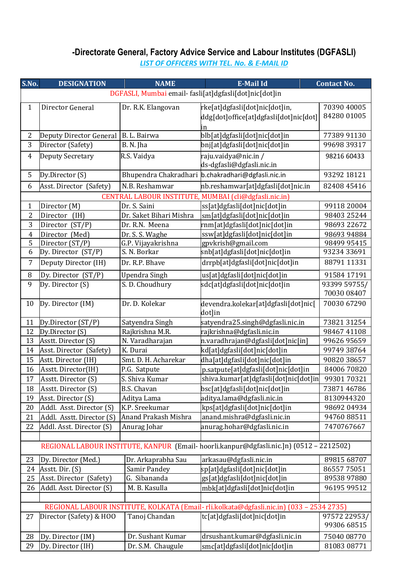## **-Directorate General, Factory Advice Service and Labour Institutes (DGFASLI)**

*LIST OF OFFICERS WITH TEL. No. & E-MAIL ID*

| S.No.          | <b>DESIGNATION</b>                                     | <b>NAME</b>             | <b>E-Mail Id</b>                                                                        | <b>Contact No.</b>          |  |  |  |
|----------------|--------------------------------------------------------|-------------------------|-----------------------------------------------------------------------------------------|-----------------------------|--|--|--|
|                | DGFASLI, Mumbai email- fasli[at]dgfasli[dot]nic[dot]in |                         |                                                                                         |                             |  |  |  |
| $\mathbf{1}$   | Director General                                       | Dr. R.K. Elangovan      | rke[at]dgfasli[dot]nic[dot]in,                                                          | 70390 40005                 |  |  |  |
|                |                                                        |                         | ddg[dot]office[at]dgfasli[dot]nic[dot]                                                  | 84280 01005                 |  |  |  |
|                |                                                        |                         | in                                                                                      |                             |  |  |  |
| $\overline{2}$ | Deputy Director General                                | B. L. Bairwa            | blb[at]dgfasli[dot]nic[dot]in                                                           | 77389 91130                 |  |  |  |
| 3              | Director (Safety)                                      | B. N. Jha               | bnj[at]dgfasli[dot]nic[dot]in                                                           | 99698 39317                 |  |  |  |
| $\overline{4}$ | <b>Deputy Secretary</b>                                | R.S. Vaidya             | raju.vaidya@nic.in/                                                                     | 98216 60433                 |  |  |  |
|                |                                                        |                         | ds-dgfasli@dgfasli.nic.in                                                               |                             |  |  |  |
| 5              | Dy.Director (S)                                        |                         | Bhupendra Chakradhari b.chakradhari@dgfasli.nic.in                                      | 93292 18121                 |  |  |  |
| 6              | Asst. Director (Safety)                                | N.B. Reshamwar          | nb.reshamwar[at]dgfasli[dot]nic.in                                                      | 82408 45416                 |  |  |  |
|                |                                                        |                         | CENTRAL LABOUR INSTITUTE, MUMBAI (cli@dgfasli.nic.in)                                   |                             |  |  |  |
| $\mathbf 1$    | Director (M)                                           | Dr. S. Saini            | ss[at]dgfasli[dot]nic[dot]in                                                            | 99118 20004                 |  |  |  |
| $\overline{2}$ | Director<br>(IH)                                       | Dr. Saket Bihari Mishra | sm[at]dgfasli[dot]nic[dot]in                                                            | 98403 25244                 |  |  |  |
| 3              | Director (ST/P)                                        | Dr. R.N. Meena          | rnm[at]dgfasli[dot]nic[dot]in                                                           | 98693 22672                 |  |  |  |
| $\overline{4}$ | Director (Med)                                         | Dr. S. S. Waghe         | ssw[at]dgfasli[dot]nic[dot]in                                                           | 98693 94884                 |  |  |  |
| 5              | Director (ST/P)                                        | G.P. Vijayakrishna      | gpvkrish@gmail.com                                                                      | 98499 95415                 |  |  |  |
| 6              | Dy. Director (ST/P)                                    | S. N. Borkar            | snb[at]dgfasli[dot]nic[dot]in                                                           | 93234 33691                 |  |  |  |
| 7              | Deputy Director (IH)                                   | Dr. R.P. Bhave          | drrpb[at]dgfasli[dot]nic[dot]in                                                         | 88791 11331                 |  |  |  |
|                |                                                        |                         |                                                                                         |                             |  |  |  |
| 8              | Dy. Director (ST/P)                                    | Upendra Singh           | us[at]dgfasli[dot]nic[dot]in                                                            | 91584 17191                 |  |  |  |
| 9              | Dy. Director (S)                                       | S. D. Choudhury         | sdc[at]dgfasli[dot]nic[dot]in                                                           | 93399 59755/<br>70030 08407 |  |  |  |
|                |                                                        |                         |                                                                                         |                             |  |  |  |
| 10             | Dy. Director (IM)                                      | Dr. D. Kolekar          | devendra.kolekar[at]dgfasli[dot]nic[<br>dot]in                                          | 70030 67290                 |  |  |  |
| 11             | Dy.Director (ST/P)                                     | Satyendra Singh         | satyendra25.singh@dgfasli.nic.in                                                        | 7382131254                  |  |  |  |
| 12             | Dy.Director (S)                                        | Rajkrishna M.R.         | rajkrishna@dgfasli.nic.in                                                               | 98467 41108                 |  |  |  |
| 13             | Asstt. Director (S)                                    | N. Varadharajan         | n.varadhrajan@dgfasli[dot]nic[in]                                                       | 99626 95659                 |  |  |  |
| 14             | Asst. Director (Safety)                                | K. Durai                | kd[at]dgfasli[dot]nic[dot]in                                                            | 99749 38764                 |  |  |  |
| 15             | Astt. Director (IH)                                    | Smt. D. H. Acharekar    | dha[at]dgfasli[dot]nic[dot]in                                                           | 90820 38657                 |  |  |  |
| 16             | Asstt. Director(IH)                                    | P.G. Satpute            | p.satpute[at]dgfasli[dot]nic[dot]in                                                     | 8400670820                  |  |  |  |
| 17             | Asstt. Director (S)                                    | S. Shiva Kumar          | shiva.kumar[at]dgfasli[dot]nic[dot]in                                                   | 9930170321                  |  |  |  |
| 18             | Asstt. Director (S)                                    | <b>B.S. Chavan</b>      | bsc[at]dgfasli[dot]nic[dot]in                                                           | 7387146786                  |  |  |  |
| 19             | Asst. Director (S)                                     | Aditya Lama             | aditya.lama@dgfasli.nic.in                                                              | 8130944320                  |  |  |  |
| 20             | Addl. Asst. Director (S)                               | K.P. Sreekumar          | kps[at]dgfasli[dot]nic[dot]in                                                           | 98692 04934                 |  |  |  |
| 21             | Addl. Asstt. Director (S)                              | Anand Prakash Mishra    | anand.mishra@dgfasli.nic.in                                                             | 94760 88511                 |  |  |  |
| 22             | Addl. Asst. Director (S)                               | Anurag Johar            | anurag.hohar@dgfasli.nic.in                                                             | 7470767667                  |  |  |  |
|                |                                                        |                         |                                                                                         |                             |  |  |  |
|                |                                                        |                         | REGIONAL LABOUR INSTITUTE, KANPUR (Email-hoorli.kanpur@dgfasli.nic.]n) (0512 - 2212502) |                             |  |  |  |
| 23             | Dy. Director (Med.)                                    | Dr. Arkaprabha Sau      | arkasau@dgfasli.nic.in                                                                  | 89815 68707                 |  |  |  |
| 24             | Asstt. Dir. (S)                                        | Samir Pandey            | sp[at]dgfasli[dot]nic[dot]in                                                            | 8655775051                  |  |  |  |
| 25             | Asst. Director (Safety)                                | G. Sibananda            | gs[at]dgfasli[dot]nic[dot]in                                                            | 89538 97880                 |  |  |  |
| 26             | Addl. Asst. Director (S)                               | M. B. Kasulla           | mbk[at]dgfasli[dot]nic[dot]in                                                           | 96195 99512                 |  |  |  |
|                |                                                        |                         |                                                                                         |                             |  |  |  |
|                |                                                        |                         | REGIONAL LABOUR INSTITUTE, KOLKATA (Email-rli.kolkata@dgfasli.nic.in) (033 - 2534 2735) |                             |  |  |  |
| 27             | Director (Safety) & HOO                                | Tanoj Chandan           | tc[at]dgfasli[dot]nic[dot]in                                                            | 97572 22953/                |  |  |  |
|                |                                                        |                         |                                                                                         | 99306 68515                 |  |  |  |
| 28             | Dy. Director (IM)                                      | Dr. Sushant Kumar       | drsushant.kumar@dgfasli.nic.in                                                          | 75040 08770                 |  |  |  |
| 29             | Dy. Director (IH)                                      | Dr. S.M. Chaugule       | smc[at]dgfasli[dot]nic[dot]in                                                           | 81083 08771                 |  |  |  |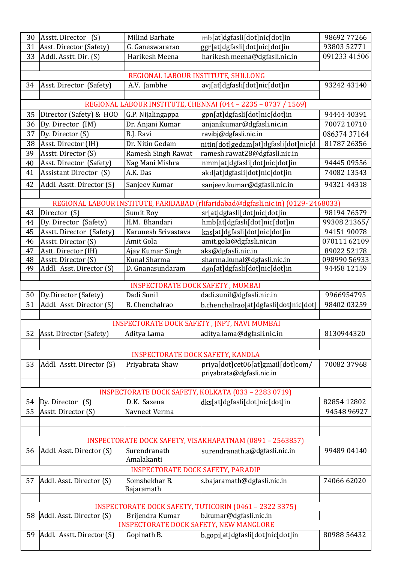| 30                                                                          | Asstt. Director (S)                           | <b>Milind Barhate</b>                    | mb[at]dgfasli[dot]nic[dot]in                                                      | 98692 77266  |  |  |  |
|-----------------------------------------------------------------------------|-----------------------------------------------|------------------------------------------|-----------------------------------------------------------------------------------|--------------|--|--|--|
| 31                                                                          | Asst. Director (Safety)                       | G. Ganeswararao                          | ggr[at]dgfasli[dot]nic[dot]in                                                     | 93803 52771  |  |  |  |
| 33                                                                          | Addl. Asstt. Dir. (S)                         | Harikesh Meena                           | harikesh.meena@dgfasli.nic.in                                                     | 091233 41506 |  |  |  |
|                                                                             |                                               |                                          |                                                                                   |              |  |  |  |
|                                                                             |                                               | REGIONAL LABOUR INSTITUTE, SHILLONG      |                                                                                   |              |  |  |  |
| 34                                                                          | Asst. Director (Safety)                       | A.V. Jambhe                              | avj[at]dgfasli[dot]nic[dot]in                                                     | 93242 43140  |  |  |  |
|                                                                             |                                               |                                          |                                                                                   |              |  |  |  |
| REGIONAL LABOUR INSTITUTE, CHENNAI (044 - 2235 - 0737 / 1569)               |                                               |                                          |                                                                                   |              |  |  |  |
| 35                                                                          | Director (Safety) & HOO                       | G.P. Nijalingappa                        | gpn[at]dgfasli[dot]nic[dot]in                                                     | 94444 40391  |  |  |  |
| 36                                                                          | Dy. Director (IM)                             | Dr. Anjani Kumar                         | anjanikumar@dgfasli.nic.in                                                        | 70072 10710  |  |  |  |
| 37                                                                          | Dy. Director (S)                              | B.J. Ravi                                | ravibj@dgfasli.nic.in                                                             | 086374 37164 |  |  |  |
| 38                                                                          | Asst. Director (IH)                           | Dr. Nitin Gedam                          | nitin[dot]gedam[at]dgfasli[dot]nic[d                                              | 81787 26356  |  |  |  |
| 39                                                                          | Asstt. Director (S)                           | Ramesh Singh Rawat                       | ramesh.rawat28@dgfasli.nic.in                                                     |              |  |  |  |
| 40                                                                          | Asst. Director (Safety)                       | Nag Mani Mishra                          | nmm[at]dgfasli[dot]nic[dot]in                                                     | 94445 09556  |  |  |  |
| 41                                                                          | <b>Assistant Director (S)</b>                 | A.K. Das                                 | akd[at]dgfasli[dot]nic[dot]in                                                     | 74082 13543  |  |  |  |
| 42                                                                          | Addl. Asstt. Director (S)                     | Sanjeev Kumar                            | sanjeev.kumar@dgfasli.nic.in                                                      | 9432144318   |  |  |  |
|                                                                             |                                               |                                          |                                                                                   |              |  |  |  |
|                                                                             |                                               |                                          | REGIONAL LABOUR INSTITUTE, FARIDABAD (rlifaridabad@dgfasli.nic.in) (0129-2468033) |              |  |  |  |
| 43                                                                          | Director (S)                                  | Sumit Roy                                | sr[at]dgfasli[dot]nic[dot]in                                                      | 98194 76579  |  |  |  |
| 44                                                                          | Dy. Director (Safety)                         | H.M. Bhandari                            | hmb[at]dgfasli[dot]nic[dot]in                                                     | 99308 21365/ |  |  |  |
| 45                                                                          | Asstt. Director (Safety)                      | Karunesh Srivastava                      | kas[at]dgfasli[dot]nic[dot]in                                                     | 94151 90078  |  |  |  |
| 46                                                                          | Asstt. Director (S)                           | Amit Gola                                | amit.gola@dgfasli.nic.in                                                          | 070111 62109 |  |  |  |
| 47                                                                          | Astt. Director (IH)                           | Ajay Kumar Singh                         | aks@dgfasli.nic.in                                                                | 89022 52178  |  |  |  |
| 48                                                                          | Asstt. Director (S)                           | Kunal Sharma                             | sharma.kunal@dgfasli.nic.in                                                       | 098990 56933 |  |  |  |
| 49                                                                          | Addl. Asst. Director (S)                      | D. Gnanasundaram                         | dgn[at]dgfasli[dot]nic[dot]in                                                     | 94458 12159  |  |  |  |
|                                                                             |                                               | <b>INSPECTORATE DOCK SAFETY, MUMBAI</b>  |                                                                                   |              |  |  |  |
| 50                                                                          | Dy.Director (Safety)                          | Dadi Sunil                               | dadi.sunil@dgfasli.nic.in                                                         | 9966954795   |  |  |  |
| 51                                                                          | Addl. Asst. Director (S)                      | B. Chenchalrao                           | b.chenchalrao[at]dgfasli[dot]nic[dot]                                             | 98402 03259  |  |  |  |
|                                                                             |                                               |                                          |                                                                                   |              |  |  |  |
|                                                                             | INSPECTORATE DOCK SAFETY, JNPT, NAVI MUMBAI   |                                          |                                                                                   |              |  |  |  |
| 52                                                                          | Asst. Director (Safety)                       | Aditya Lama                              | aditya.lama@dgfasli.nic.in                                                        | 8130944320   |  |  |  |
|                                                                             |                                               |                                          |                                                                                   |              |  |  |  |
|                                                                             |                                               | <b>INSPECTORATE DOCK SAFETY, KANDLA</b>  |                                                                                   |              |  |  |  |
| 53                                                                          | Addl. Asstt. Director (S)                     | Priyabrata Shaw                          | priya[dot]cet06[at]gmail[dot]com/                                                 | 70082 37968  |  |  |  |
|                                                                             |                                               |                                          | priyabrata@dgfasli.nic.in                                                         |              |  |  |  |
|                                                                             |                                               |                                          |                                                                                   |              |  |  |  |
|                                                                             |                                               |                                          | INSPECTORATE DOCK SAFETY, KOLKATA (033 - 2283 0719)                               |              |  |  |  |
| 54                                                                          | Dy. Director<br>(S)                           | D.K. Saxena                              | dks[at]dgfasli[dot]nic[dot]in                                                     | 82854 12802  |  |  |  |
| 55                                                                          | Asstt. Director (S)                           | Navneet Verma                            |                                                                                   | 94548 96927  |  |  |  |
|                                                                             |                                               |                                          |                                                                                   |              |  |  |  |
|                                                                             |                                               |                                          |                                                                                   |              |  |  |  |
|                                                                             |                                               |                                          | INSPECTORATE DOCK SAFETY, VISAKHAPATNAM (0891 - 2563857)                          |              |  |  |  |
| 56                                                                          | Addl. Asst. Director (S)                      | Surendranath                             | surendranath.a@dgfasli.nic.in                                                     | 99489 04140  |  |  |  |
|                                                                             |                                               | Amalakanti                               |                                                                                   |              |  |  |  |
|                                                                             |                                               | <b>INSPECTORATE DOCK SAFETY, PARADIP</b> |                                                                                   |              |  |  |  |
| 57                                                                          | Addl. Asst. Director (S)                      | Somshekhar B.                            | s.bajaramath@dgfasli.nic.in                                                       | 74066 62020  |  |  |  |
|                                                                             |                                               | Bajaramath                               |                                                                                   |              |  |  |  |
|                                                                             |                                               |                                          |                                                                                   |              |  |  |  |
|                                                                             |                                               |                                          | INSPECTORATE DOCK SAFETY, TUTICORIN (0461 - 2322 3375)                            |              |  |  |  |
| 58<br>Addl. Asst. Director (S)<br>Brijendra Kumar<br>b.kumar@dgfasli.nic.in |                                               |                                          |                                                                                   |              |  |  |  |
|                                                                             | <b>INSPECTORATE DOCK SAFETY, NEW MANGLORE</b> |                                          |                                                                                   |              |  |  |  |
| 59                                                                          | Addl. Asstt. Director (S)                     | Gopinath B.                              | b.gopi[at]dgfasli[dot]nic[dot]in                                                  | 80988 56432  |  |  |  |
|                                                                             |                                               |                                          |                                                                                   |              |  |  |  |